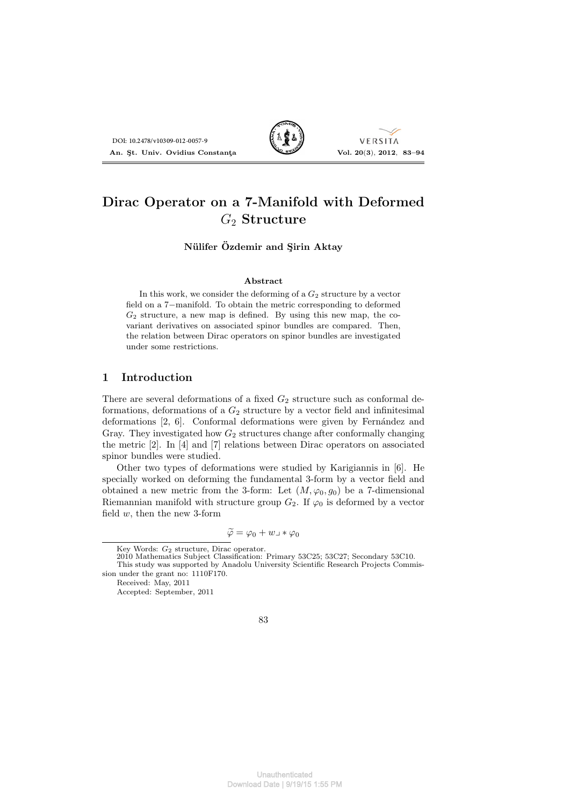

VERSITA

# **Dirac Operator on a 7-Manifold with Deformed** *G*<sup>2</sup> **Structure**

**N**ülifer  $\ddot{\text{O}}$ *zdemir and Sirin Aktay* 

#### **Abstract**

In this work, we consider the deforming of a  $G_2$  structure by a vector field on a 7*−*manifold. To obtain the metric corresponding to deformed  $G_2$  structure, a new map is defined. By using this new map, the covariant derivatives on associated spinor bundles are compared. Then, the relation between Dirac operators on spinor bundles are investigated under some restrictions.

#### **1 Introduction**

There are several deformations of a fixed  $G_2$  structure such as conformal deformations, deformations of a  $G_2$  structure by a vector field and infinitesimal deformations [2, 6]. Conformal deformations were given by Fernández and Gray. They investigated how  $G_2$  structures change after conformally changing the metric [2]. In [4] and [7] relations between Dirac operators on associated spinor bundles were studied. Dot bezzovouso-out-some of **AT**<br>
In this work, we consider the deforming of a  $G_2$  Structure<br>
in this work, we consider the deforming of a  $G_2$  structure<br>
( $G_2$  structure<br>
( $G_3$  structure, a new map is defined. The wi

Other two types of deformations were studied by Karigiannis in [6]. He specially worked on deforming the fundamental 3-form by a vector field and obtained a new metric from the 3-form: Let  $(M, \varphi_0, g_0)$  be a 7-dimensional Riemannian manifold with structure group  $G_2$ . If  $\varphi_0$  is deformed by a vector field *w*, then the new 3-form

$$
\widetilde{\varphi} = \varphi_0 + w \lrcorner * \varphi_0
$$

Accepted: September, 2011

Key Words: *G*<sup>2</sup> structure, Dirac operator.

<sup>2010</sup> Mathematics Subject Classification: Primary 53C25; 53C27; Secondary 53C10. This study was supported by Anadolu University Scientific Research Projects Commission under the grant no: 1110F170.

Received: May, 2011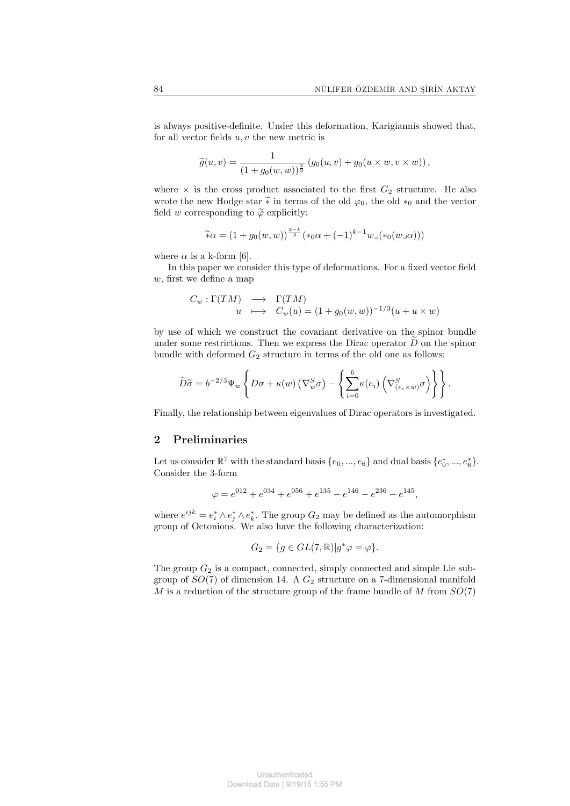is always positive-definite. Under this deformation, Karigiannis showed that, for all vector fields *u, v* the new metric is

$$
\widetilde{g}(u, v) = \frac{1}{(1 + g_0(w, w))^{\frac{2}{3}}}(g_0(u, v) + g_0(u \times w, v \times w)),
$$

where  $\times$  is the cross product associated to the first  $G_2$  structure. He also wrote the new Hodge star  $\tilde{\ast}$  in terms of the old  $\varphi_0$ , the old  $*_0$  and the vector field *w* corresponding to  $\tilde{\varphi}$  explicitly:

$$
\widetilde{\ast}\alpha = (1 + g_0(w, w))^{\frac{2-k}{3}} (\ast_0\alpha + (-1)^{k-1} w \lrcorner (\ast_0(w \lrcorner \alpha)))
$$

where  $\alpha$  is a k-form [6].

In this paper we consider this type of deformations. For a fixed vector field *w*, first we define a map

$$
C_w: \Gamma(TM) \longrightarrow \Gamma(TM)
$$
  
 
$$
u \longrightarrow C_w(u) = (1 + g_0(w, w))^{-1/3} (u + u \times w)
$$

by use of which we construct the covariant derivative on the spinor bundle under some restrictions. Then we express the Dirac operator  $\overline{D}$  on the spinor bundle with deformed  $G_2$  structure in terms of the old one as follows:

$$
\widetilde{D}\widetilde{\sigma} = b^{-2/3}\Psi_w \left\{ D\sigma + \kappa(w) \left( \nabla_w^S \sigma \right) - \left\{ \sum_{i=0}^6 \kappa(e_i) \left( \nabla_{(e_i \times w)}^S \sigma \right) \right\} \right\}.
$$

Finally, the relationship between eigenvalues of Dirac operators is investigated.

### **2 Preliminaries**

Let us consider  $\mathbb{R}^7$  with the standard basis  $\{e_0, ..., e_6\}$  and dual basis  $\{e_0^*, ..., e_6^*\}$ . Consider the 3-form

$$
\varphi = e^{012} + e^{034} + e^{056} + e^{135} - e^{146} - e^{236} - e^{145},
$$

where  $e^{ijk} = e_i^* \wedge e_j^* \wedge e_k^*$ . The group  $G_2$  may be defined as the automorphism group of Octonions. We also have the following characterization:

$$
G_2 = \{ g \in GL(7, \mathbb{R}) | g^* \varphi = \varphi \}.
$$

The group  $G_2$  is a compact, connected, simply connected and simple Lie subgroup of *SO*(7) of dimension 14. A *G*<sup>2</sup> structure on a 7-dimensional manifold *M* is a reduction of the structure group of the frame bundle of *M* from *SO*(7)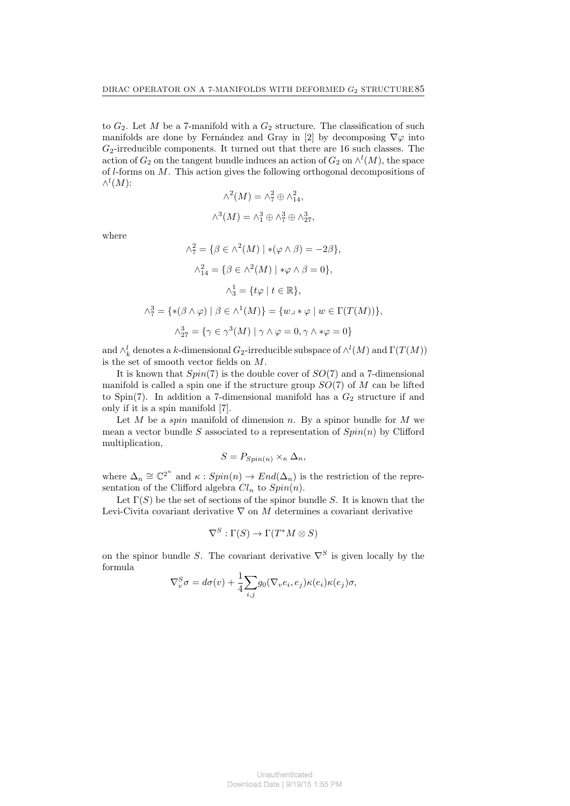to  $G_2$ . Let  $M$  be a 7-manifold with a  $G_2$  structure. The classification of such manifolds are done by Fernández and Gray in [2] by decomposing  $\nabla \varphi$  into *G*2-irreducible components. It turned out that there are 16 such classes. The action of  $G_2$  on the tangent bundle induces an action of  $G_2$  on  $\wedge^l(M)$ , the space of *l*-forms on *M*. This action gives the following orthogonal decompositions of *∧ l* (*M*):

$$
\wedge^2(M) = \wedge_7^2 \oplus \wedge_{14}^2,
$$
  

$$
\wedge^3(M) = \wedge_1^3 \oplus \wedge_7^3 \oplus \wedge_{27}^3,
$$

where

$$
\wedge_7^2 = \{ \beta \in \wedge^2(M) \mid *(\varphi \wedge \beta) = -2\beta \},
$$

$$
\wedge_{14}^2 = \{ \beta \in \wedge^2(M) \mid * \varphi \wedge \beta = 0 \},
$$

$$
\wedge_3^1 = \{ t\varphi \mid t \in \mathbb{R} \},
$$

$$
\wedge_7^3 = \{ *(\beta \wedge \varphi) \mid \beta \in \wedge^1(M) \} = \{ w \cup * \varphi \mid w \in \Gamma(T(M)) \},
$$

$$
\wedge_{27}^3 = \{ \gamma \in \gamma^3(M) \mid \gamma \wedge \varphi = 0, \gamma \wedge * \varphi = 0 \}
$$

and  $\wedge_k^l$  denotes a *k*-dimensional  $G_2$ -irreducible subspace of  $\wedge^l(M)$  and  $\Gamma(T(M))$ is the set of smooth vector fields on *M*.

It is known that *Spin*(7) is the double cover of *SO*(7) and a 7-dimensional manifold is called a spin one if the structure group *SO*(7) of *M* can be lifted to Spin(7). In addition a 7-dimensional manifold has a  $G_2$  structure if and only if it is a spin manifold [7].

Let *M* be a *spin* manifold of dimension *n*. By a spinor bundle for *M* we mean a vector bundle *S* associated to a representation of *Spin*(*n*) by Clifford multiplication,

$$
S = P_{Spin(n)} \times_{\kappa} \Delta_n,
$$

where  $\Delta_n \cong \mathbb{C}^{2^n}$  and  $\kappa : Spin(n) \to End(\Delta_n)$  is the restriction of the representation of the Clifford algebra  $Cl_n$  to  $Spin(n)$ .

Let  $\Gamma(S)$  be the set of sections of the spinor bundle *S*. It is known that the Levi-Civita covariant derivative *∇* on *M* determines a covariant derivative

$$
\nabla^S : \Gamma(S) \to \Gamma(T^*M \otimes S)
$$

on the spinor bundle *S*. The covariant derivative  $\nabla^S$  is given locally by the formula

$$
\nabla_v^S \sigma = d\sigma(v) + \frac{1}{4} \sum_{i,j} g_0(\nabla_v e_i, e_j) \kappa(e_i) \kappa(e_j) \sigma,
$$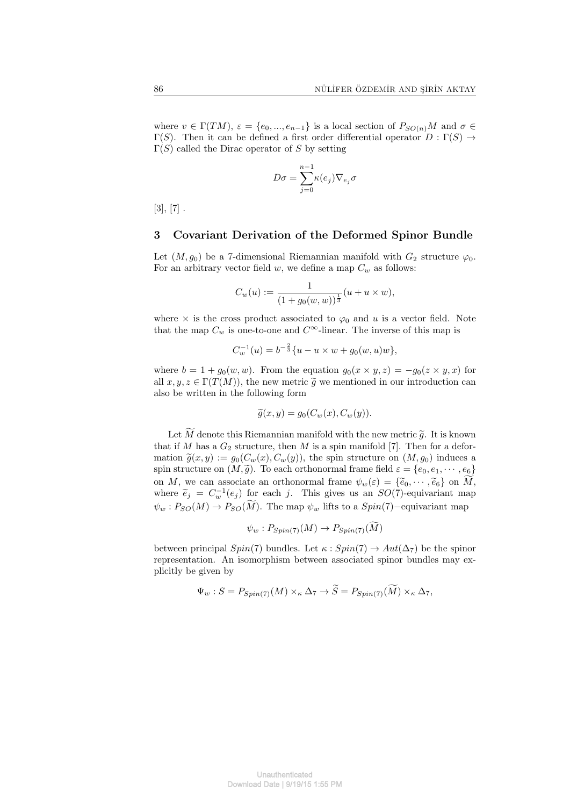where  $v \in \Gamma(TM)$ ,  $\varepsilon = \{e_0, ..., e_{n-1}\}$  is a local section of  $P_{SO(n)}M$  and  $\sigma \in$ Γ(*S*). Then it can be defined a first order differential operator *D* : Γ(*S*) *→* Γ(*S*) called the Dirac operator of *S* by setting

$$
D\sigma = \sum_{j=0}^{n-1} \kappa(e_j) \nabla_{e_j} \sigma
$$

 $[3], [7]$ .

#### **3 Covariant Derivation of the Deformed Spinor Bundle**

Let  $(M, g_0)$  be a 7-dimensional Riemannian manifold with  $G_2$  structure  $\varphi_0$ . For an arbitrary vector field *w*, we define a map  $C_w$  as follows:

$$
C_w(u) := \frac{1}{(1 + g_0(w, w))^{\frac{1}{3}}}(u + u \times w),
$$

where  $\times$  is the cross product associated to  $\varphi_0$  and *u* is a vector field. Note that the map  $C_w$  is one-to-one and  $C^{\infty}$ -linear. The inverse of this map is

$$
C_w^{-1}(u) = b^{-\frac{2}{3}} \{u - u \times w + g_0(w, u)w\},\,
$$

where  $b = 1 + g_0(w, w)$ . From the equation  $g_0(x \times y, z) = -g_0(z \times y, x)$  for all  $x, y, z \in \Gamma(T(M))$ , the new metric  $\tilde{g}$  we mentioned in our introduction can also be written in the following form

$$
\widetilde{g}(x,y) = g_0(C_w(x), C_w(y)).
$$

Let  $\widetilde{M}$  denote this Riemannian manifold with the new metric  $\widetilde{g}$ . It is known that if  $M$  has a  $G_2$  structure, then  $M$  is a spin manifold [7]. Then for a deformation  $\tilde{g}(x, y) := g_0(C_w(x), C_w(y))$ , the spin structure on  $(M, g_0)$  induces a spin structure on  $(M, \tilde{g})$ . To each orthonormal frame field  $\varepsilon = \{e_0, e_1, \dots, e_6\}$ on *M*, we can associate an orthonormal frame  $\psi_w(\varepsilon) = {\tilde{e}_0, \cdots, \tilde{e}_6}$  on  $\tilde{M}$ , where  $\widetilde{e}_j = C_w^{-1}(e_j)$  for each *j*. This gives us an *SO*(7)-equivariant map  $\psi_w : P_{SO}(M) \to P_{SO}(\widetilde{M})$ . The map  $\psi_w$  lifts to a  $Spin(7)$ *-*equivariant map

$$
\psi_w: P_{Spin(7)}(M) \to P_{Spin(7)}(M)
$$

between principal *Spin*(7) bundles. Let  $\kappa : Spin(7) \to Aut(\Delta_7)$  be the spinor representation. An isomorphism between associated spinor bundles may explicitly be given by

$$
\Psi_w : S = P_{Spin(7)}(M) \times_{\kappa} \Delta_7 \to \widetilde{S} = P_{Spin(7)}(\widetilde{M}) \times_{\kappa} \Delta_7,
$$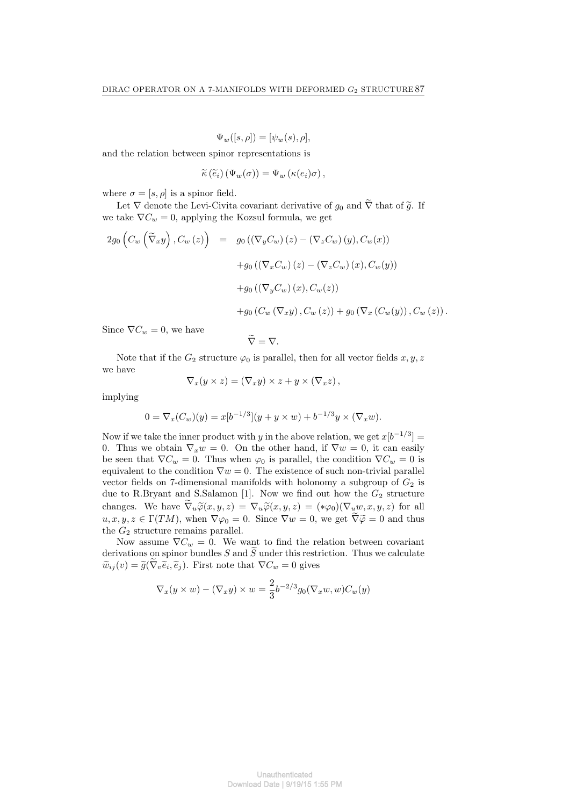$$
\Psi_w([s,\rho]) = [\psi_w(s),\rho],
$$

and the relation between spinor representations is

$$
\widetilde{\kappa}(\widetilde{e}_i)\left(\Psi_w(\sigma)\right)=\Psi_w\left(\kappa(e_i)\sigma\right),\,
$$

where  $\sigma = [s, \rho]$  is a spinor field.

Let  $\nabla$  denote the Levi-Civita covariant derivative of  $g_0$  and  $\tilde{\nabla}$  that of  $\tilde{g}$ . If we take  $\nabla C_w = 0$ , applying the Kozsul formula, we get

$$
2g_0\left(C_w\left(\widetilde{\nabla}_x y\right), C_w\left(z\right)\right) = g_0\left(\left(\nabla_y C_w\right)\left(z\right) - \left(\nabla_z C_w\right)\left(y\right), C_w(x)\right) + g_0\left(\left(\nabla_x C_w\right)\left(z\right) - \left(\nabla_z C_w\right)\left(x\right), C_w(y)\right) + g_0\left(\left(\nabla_y C_w\right)\left(x\right), C_w(z)\right) + g_0\left(C_w\left(\nabla_x y\right), C_w\left(z\right)\right) + g_0\left(\nabla_x\left(C_w(y)\right), C_w\left(z\right)\right).
$$

Since  $\nabla C_w = 0$ , we have

$$
\widetilde{\nabla}=\nabla.
$$

Note that if the  $G_2$  structure  $\varphi_0$  is parallel, then for all vector fields  $x, y, z$ we have

$$
\nabla_x(y \times z) = (\nabla_x y) \times z + y \times (\nabla_x z),
$$

implying

$$
0 = \nabla_x (C_w)(y) = x[b^{-1/3}](y + y \times w) + b^{-1/3}y \times (\nabla_x w).
$$

Now if we take the inner product with *y* in the above relation, we get  $x[b^{-1/3}] =$ 0. Thus we obtain  $\nabla_x w = 0$ . On the other hand, if  $\nabla w = 0$ , it can easily be seen that  $\nabla C_w = 0$ . Thus when  $\varphi_0$  is parallel, the condition  $\nabla C_w = 0$  is equivalent to the condition  $\nabla w = 0$ . The existence of such non-trivial parallel vector fields on 7-dimensional manifolds with holonomy a subgroup of  $G_2$  is due to R.Bryant and S.Salamon [1]. Now we find out how the  $G_2$  structure changes. We have  $\tilde{\nabla}_u \tilde{\varphi}(x, y, z) = \nabla_u \tilde{\varphi}(x, y, z) = (*\varphi_0)(\nabla_u w, x, y, z)$  for all  $u, x, y, z \in \Gamma(TM)$ , when  $\nabla \varphi_0 = 0$ . Since  $\nabla w = 0$ , we get  $\widetilde{\nabla} \widetilde{\varphi} = 0$  and thus the  $G_2$  structure remains parallel.

Now assume  $\nabla C_w = 0$ . We want to find the relation between covariant derivations on spinor bundles  $S$  and  $\tilde{S}$  under this restriction. Thus we calculate  $\widetilde{w}_{ij}(v) = \widetilde{g}(\nabla_v \widetilde{e}_i, \widetilde{e}_j)$ . First note that  $\nabla C_w = 0$  gives

$$
\nabla_x(y \times w) - (\nabla_x y) \times w = \frac{2}{3} b^{-2/3} g_0(\nabla_x w, w) C_w(y)
$$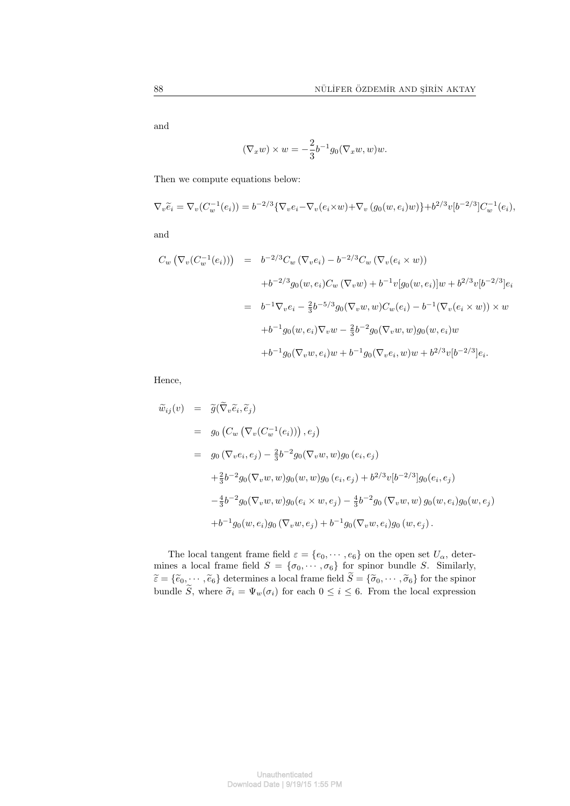and

$$
(\nabla_x w) \times w = -\frac{2}{3} b^{-1} g_0(\nabla_x w, w) w.
$$

Then we compute equations below:

$$
\nabla_v \widetilde{e}_i = \nabla_v (C_w^{-1}(e_i)) = b^{-2/3} \{ \nabla_v e_i - \nabla_v (e_i \times w) + \nabla_v (g_0(w, e_i)w) \} + b^{2/3} v [b^{-2/3}] C_w^{-1}(e_i),
$$

and

$$
C_w (\nabla_v (C_w^{-1}(e_i))) = b^{-2/3} C_w (\nabla_v e_i) - b^{-2/3} C_w (\nabla_v (e_i \times w))
$$
  
+b<sup>-2/3</sup>g<sub>0</sub>(w, e<sub>i</sub>)C<sub>w</sub> ( $\nabla_v w$ ) + b<sup>-1</sup>v[g<sub>0</sub>(w, e<sub>i</sub>)]w + b<sup>2/3</sup>v[b<sup>-2/3</sup>]e<sub>i</sub>  
= b<sup>-1</sup> $\nabla_v e_i - \frac{2}{3}b^{-5/3}g_0(\nabla_v w, w)C_w(e_i) - b^{-1}(\nabla_v (e_i \times w)) \times w$   
+b<sup>-1</sup>g<sub>0</sub>(w, e<sub>i</sub>) $\nabla_v w - \frac{2}{3}b^{-2}g_0(\nabla_v w, w)g_0(w, e_i)w$   
+b<sup>-1</sup>g<sub>0</sub>( $\nabla_v w, e_i$ )w + b<sup>-1</sup>g<sub>0</sub>( $\nabla_v e_i, w$ )w + b<sup>2/3</sup>v[b<sup>-2/3</sup>]e<sub>i</sub>.

Hence,

$$
\widetilde{w}_{ij}(v) = \widetilde{g}(\nabla_v \widetilde{e}_i, \widetilde{e}_j)
$$
\n
$$
= g_0 \left( C_w \left( \nabla_v (C_w^{-1}(e_i)) \right), e_j \right)
$$
\n
$$
= g_0 \left( \nabla_v e_i, e_j \right) - \frac{2}{3} b^{-2} g_0 (\nabla_v w, w) g_0 \left( e_i, e_j \right)
$$
\n
$$
+ \frac{2}{3} b^{-2} g_0 (\nabla_v w, w) g_0(w, w) g_0 \left( e_i, e_j \right) + b^{2/3} v [b^{-2/3}] g_0(e_i, e_j)
$$
\n
$$
- \frac{4}{3} b^{-2} g_0 (\nabla_v w, w) g_0(e_i \times w, e_j) - \frac{4}{3} b^{-2} g_0 (\nabla_v w, w) g_0(w, e_i) g_0(w, e_j)
$$
\n
$$
+ b^{-1} g_0(w, e_i) g_0 (\nabla_v w, e_j) + b^{-1} g_0 (\nabla_v w, e_i) g_0(w, e_j).
$$

The local tangent frame field  $\varepsilon = \{e_0, \dots, e_6\}$  on the open set  $U_\alpha$ , determines a local frame field  $S = {\sigma_0, \cdots, \sigma_6}$  for spinor bundle *S*. Similarly,  $\widetilde{\epsilon} = {\{\widetilde{e}_0, \cdots, \widetilde{e}_6\}}$  determines a local frame field  $S = {\{\widetilde{\sigma}_0, \cdots, \widetilde{\sigma}_6\}}$  for the spinor bundle *S*, where  $\tilde{\sigma}_i = \Psi_w(\sigma_i)$  for each  $0 \leq i \leq 6$ . From the local expression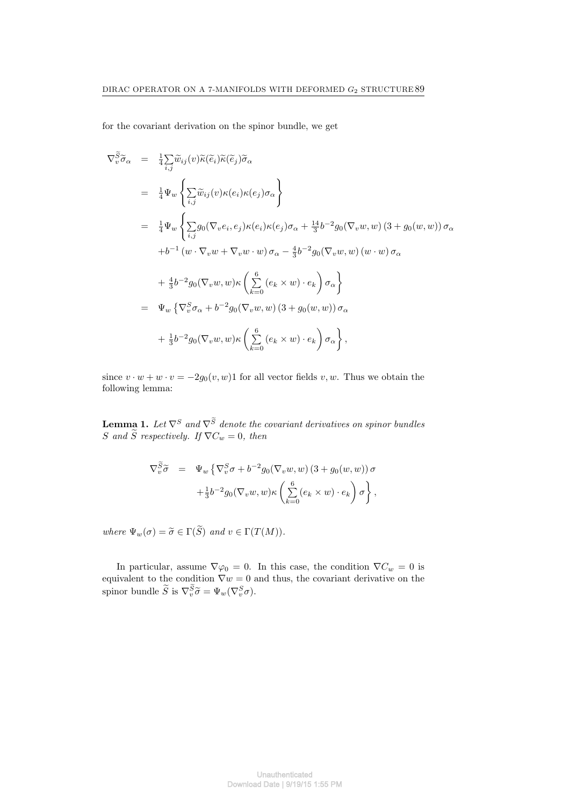for the covariant derivation on the spinor bundle, we get

$$
\nabla_v^{\widetilde{S}} \widetilde{\sigma}_{\alpha} = \frac{1}{4} \sum_{i,j} \widetilde{w}_{ij}(v) \widetilde{\kappa}(\widetilde{e}_i) \widetilde{\kappa}(\widetilde{e}_j) \widetilde{\sigma}_{\alpha}
$$
\n
$$
= \frac{1}{4} \Psi_w \left\{ \sum_{i,j} \widetilde{w}_{ij}(v) \kappa(e_i) \kappa(e_j) \sigma_{\alpha} \right\}
$$
\n
$$
= \frac{1}{4} \Psi_w \left\{ \sum_{i,j} g_0(\nabla_v e_i, e_j) \kappa(e_i) \kappa(e_j) \sigma_{\alpha} + \frac{14}{3} b^{-2} g_0(\nabla_v w, w) (3 + g_0(w, w)) \sigma_{\alpha} \right. \n\left. + b^{-1} (w \cdot \nabla_v w + \nabla_v w \cdot w) \sigma_{\alpha} - \frac{4}{3} b^{-2} g_0(\nabla_v w, w) (w \cdot w) \sigma_{\alpha} \right. \n\left. + \frac{4}{3} b^{-2} g_0(\nabla_v w, w) \kappa \left( \sum_{k=0}^{6} (e_k \times w) \cdot e_k \right) \sigma_{\alpha} \right\}
$$
\n
$$
= \Psi_w \left\{ \nabla_v^S \sigma_{\alpha} + b^{-2} g_0(\nabla_v w, w) (3 + g_0(w, w)) \sigma_{\alpha} \right. \n\left. + \frac{1}{3} b^{-2} g_0(\nabla_v w, w) \kappa \left( \sum_{k=0}^{6} (e_k \times w) \cdot e_k \right) \sigma_{\alpha} \right\},
$$

since  $v \cdot w + w \cdot v = -2g_0(v, w)1$  for all vector fields  $v, w$ . Thus we obtain the following lemma:

**Lemma 1.** Let  $\nabla^S$  and  $\nabla^S$  denote the covariant derivatives on spinor bundles *S* and *S* respectively. If  $\nabla C_w = 0$ , then

$$
\nabla_v^{\widetilde{S}} \widetilde{\sigma} = \Psi_w \left\{ \nabla_v^S \sigma + b^{-2} g_0(\nabla_v w, w) \left( 3 + g_0(w, w) \right) \sigma \right. \\ \left. + \frac{1}{3} b^{-2} g_0(\nabla_v w, w) \kappa \left( \sum_{k=0}^6 (e_k \times w) \cdot e_k \right) \sigma \right\},
$$

*where*  $\Psi_w(\sigma) = \tilde{\sigma} \in \Gamma(\tilde{S})$  *and*  $v \in \Gamma(T(M))$ *.* 

In particular, assume  $\nabla \varphi_0 = 0$ . In this case, the condition  $\nabla C_w = 0$  is equivalent to the condition  $\nabla w = 0$  and thus, the covariant derivative on the spinor bundle  $\widetilde{S}$  is  $\nabla_v^S \widetilde{\sigma} = \Psi_w(\nabla_v^S \sigma)$ .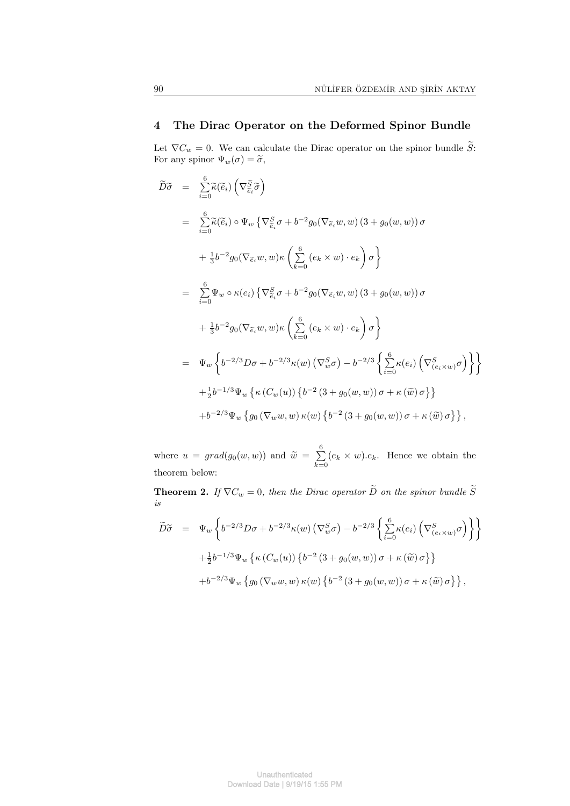## **4 The Dirac Operator on the Deformed Spinor Bundle**

Let  $\nabla C_w = 0$ . We can calculate the Dirac operator on the spinor bundle  $\widetilde{S}$ : For any spinor  $\Psi_w(\sigma) = \tilde{\sigma}$ ,

$$
\widetilde{D}\widetilde{\sigma} = \sum_{i=0}^{6} \widetilde{\kappa}(\widetilde{e}_{i}) \left( \nabla_{\widetilde{e}_{i}}^{\widetilde{S}} \widetilde{\sigma} \right)
$$
\n
$$
= \sum_{i=0}^{6} \widetilde{\kappa}(\widetilde{e}_{i}) \circ \Psi_{w} \left\{ \nabla_{\widetilde{e}_{i}}^{\widetilde{S}} \sigma + b^{-2} g_{0}(\nabla_{\widetilde{e}_{i}} w, w) \left( 3 + g_{0}(w, w) \right) \sigma \right.
$$
\n
$$
+ \frac{1}{3} b^{-2} g_{0}(\nabla_{\widetilde{e}_{i}} w, w) \kappa \left( \sum_{k=0}^{6} (e_{k} \times w) \cdot e_{k} \right) \sigma \right\}
$$
\n
$$
= \sum_{i=0}^{6} \Psi_{w} \circ \kappa(e_{i}) \left\{ \nabla_{\widetilde{e}_{i}}^{\widetilde{S}} \sigma + b^{-2} g_{0}(\nabla_{\widetilde{e}_{i}} w, w) \left( 3 + g_{0}(w, w) \right) \sigma \right.
$$
\n
$$
+ \frac{1}{3} b^{-2} g_{0}(\nabla_{\widetilde{e}_{i}} w, w) \kappa \left( \sum_{k=0}^{6} (e_{k} \times w) \cdot e_{k} \right) \sigma \right\}
$$
\n
$$
= \Psi_{w} \left\{ b^{-2/3} D \sigma + b^{-2/3} \kappa(w) \left( \nabla_{w}^{\widetilde{S}} \sigma \right) - b^{-2/3} \left\{ \sum_{i=0}^{6} \kappa(e_{i}) \left( \nabla_{(e_{i} \times w)}^{\widetilde{S}} \sigma \right) \right\} \right\}
$$
\n
$$
+ \frac{1}{2} b^{-1/3} \Psi_{w} \left\{ \kappa \left( C_{w}(u) \right) \left\{ b^{-2} \left( 3 + g_{0}(w, w) \right) \sigma + \kappa \left( \widetilde{w} \right) \sigma \right\} \right\},
$$
\n
$$
+ b^{-2/3} \Psi_{w} \left\{ g_{0} \left( \nabla_{w} w, w \right) \kappa(w) \left\{ b
$$

where  $u = grad(g_0(w, w))$  and  $\widetilde{w} = \sum_{k=0}^{6}$  $\sum_{k=0}^{\infty} (e_k \times w).e_k$ . Hence we obtain the theorem below:

**Theorem 2.** *If*  $\nabla C_w = 0$ *, then the Dirac operator*  $\widetilde{D}$  *on the spinor bundle*  $\widetilde{S}$ *is*

$$
\widetilde{D}\widetilde{\sigma} = \Psi_w \left\{ b^{-2/3} D\sigma + b^{-2/3} \kappa(w) \left( \nabla_w^S \sigma \right) - b^{-2/3} \left\{ \sum_{i=0}^6 \kappa(e_i) \left( \nabla_{(e_i \times w)}^S \sigma \right) \right\} \right\}
$$
  
+  $\frac{1}{2} b^{-1/3} \Psi_w \left\{ \kappa \left( C_w(u) \right) \left\{ b^{-2} \left( 3 + g_0(w, w) \right) \sigma + \kappa \left( \widetilde{w} \right) \sigma \right\} \right\}$   
+  $b^{-2/3} \Psi_w \left\{ g_0 \left( \nabla_w w, w \right) \kappa(w) \left\{ b^{-2} \left( 3 + g_0(w, w) \right) \sigma + \kappa \left( \widetilde{w} \right) \sigma \right\} \right\},$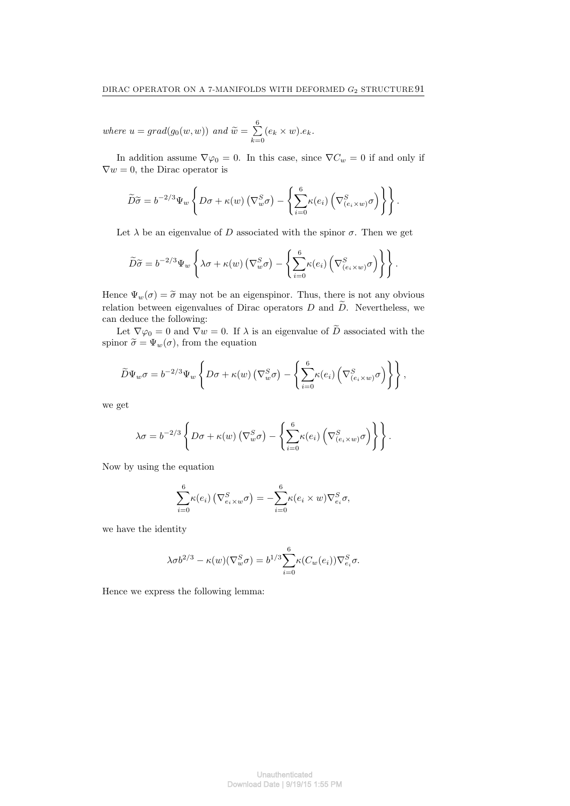*where*  $u = grad(g_0(w, w))$  *and*  $\widetilde{w} = \sum_{k=0}^{6}$  $\sum_{k=0}$   $(e_k \times w).e_k$ .

In addition assume  $\nabla \varphi_0 = 0$ . In this case, since  $\nabla C_w = 0$  if and only if  $\nabla w = 0$ , the Dirac operator is

$$
\widetilde{D}\widetilde{\sigma} = b^{-2/3}\Psi_w \left\{ D\sigma + \kappa(w) \left( \nabla_w^S \sigma \right) - \left\{ \sum_{i=0}^6 \kappa(e_i) \left( \nabla_{(e_i \times w)}^S \sigma \right) \right\} \right\}.
$$

Let  $\lambda$  be an eigenvalue of *D* associated with the spinor  $\sigma$ . Then we get

$$
\widetilde{D}\widetilde{\sigma} = b^{-2/3}\Psi_w \left\{ \lambda \sigma + \kappa(w) \left( \nabla_w^S \sigma \right) - \left\{ \sum_{i=0}^6 \kappa(e_i) \left( \nabla_{(e_i \times w)}^S \sigma \right) \right\} \right\}.
$$

Hence  $\Psi_w(\sigma) = \tilde{\sigma}$  may not be an eigenspinor. Thus, there is not any obvious relation between eigenvalues of Dirac operators  $D$  and  $\widetilde{D}$ . Nevertheless, we can deduce the following:

Let  $\nabla \varphi_0 = 0$  and  $\nabla w = 0$ . If  $\lambda$  is an eigenvalue of  $\widetilde{D}$  associated with the spinor  $\tilde{\sigma} = \Psi_w(\sigma)$ , from the equation

$$
\widetilde{D}\Psi_{w}\sigma = b^{-2/3}\Psi_{w}\left\{D\sigma + \kappa(w)\left(\nabla_{w}^{S}\sigma\right) - \left\{\sum_{i=0}^{6} \kappa(e_{i})\left(\nabla_{(e_{i}\times w)}^{S}\sigma\right)\right\}\right\},
$$

we get

$$
\lambda \sigma = b^{-2/3} \left\{ D \sigma + \kappa(w) \left( \nabla_w^S \sigma \right) - \left\{ \sum_{i=0}^6 \kappa(e_i) \left( \nabla_{(e_i \times w)}^S \sigma \right) \right\} \right\}.
$$

Now by using the equation

$$
\sum_{i=0}^{6} \kappa(e_i) \left( \nabla_{e_i \times w}^{S} \sigma \right) = -\sum_{i=0}^{6} \kappa(e_i \times w) \nabla_{e_i}^{S} \sigma,
$$

we have the identity

$$
\lambda \sigma b^{2/3} - \kappa(w) (\nabla_w^S \sigma) = b^{1/3} \sum_{i=0}^6 \kappa(C_w(e_i)) \nabla_{e_i}^S \sigma.
$$

Hence we express the following lemma: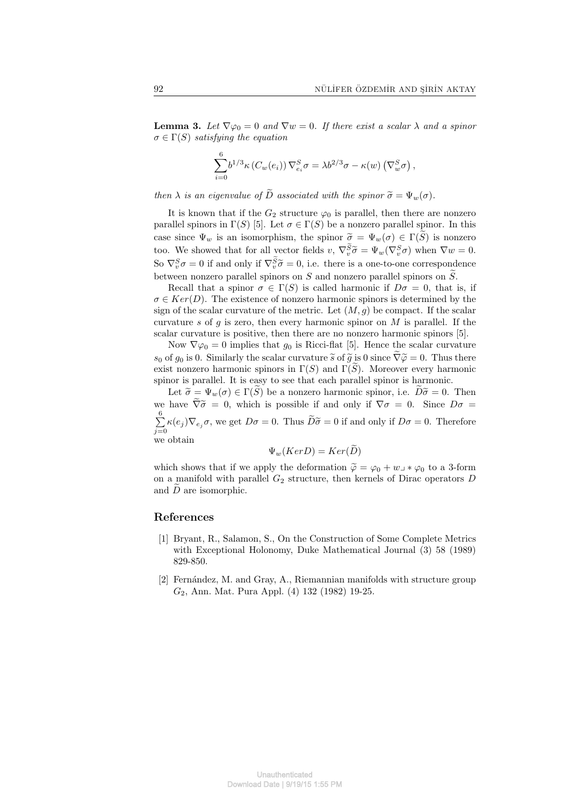**Lemma 3.** Let  $\nabla \varphi_0 = 0$  and  $\nabla w = 0$ . If there exist a scalar  $\lambda$  and a spinor  $\sigma \in \Gamma(S)$  *satisfying the equation* 

$$
\sum_{i=0}^{6} b^{1/3} \kappa \left( C_w(e_i) \right) \nabla_{e_i}^S \sigma = \lambda b^{2/3} \sigma - \kappa(w) \left( \nabla_w^S \sigma \right),
$$

*then*  $\lambda$  *is an eigenvalue of*  $\widetilde{D}$  *associated with the spinor*  $\widetilde{\sigma} = \Psi_w(\sigma)$ *.* 

It is known that if the  $G_2$  structure  $\varphi_0$  is parallel, then there are nonzero parallel spinors in  $\Gamma(S)$  [5]. Let  $\sigma \in \Gamma(S)$  be a nonzero parallel spinor. In this case since  $\Psi_w$  is an isomorphism, the spinor  $\tilde{\sigma} = \Psi_w(\sigma) \in \Gamma(\tilde{S})$  is nonzero too. We showed that for all vector fields  $v, \nabla_v^S \tilde{\sigma} = \Psi_w(\nabla_v^S \sigma)$  when  $\nabla w = 0$ . So  $\nabla_v^S \sigma = 0$  if and only if  $\nabla_v^S \tilde{\sigma} = 0$ , i.e. there is a one-to-one correspondence between nonzero parallel spinors on *S* and nonzero parallel spinors on  $\widetilde{S}$ .

Recall that a spinor  $\sigma \in \Gamma(S)$  is called harmonic if  $D\sigma = 0$ , that is, if  $\sigma \in Ker(D)$ . The existence of nonzero harmonic spinors is determined by the sign of the scalar curvature of the metric. Let  $(M, g)$  be compact. If the scalar curvature *s* of *g* is zero, then every harmonic spinor on *M* is parallel. If the scalar curvature is positive, then there are no nonzero harmonic spinors [5].

Now  $\nabla \varphi_0 = 0$  implies that  $g_0$  is Ricci-flat [5]. Hence the scalar curvature *s*<sub>0</sub> of *g*<sub>0</sub> is 0. Similarly the scalar curvature  $\tilde{s}$  of  $\tilde{g}$  is 0 since  $\tilde{\nabla}\tilde{\varphi} = 0$ . Thus there exist nonzero harmonic spinors in  $\Gamma(S)$  and  $\Gamma(S)$ . Moreover every harmonic spinor is parallel. It is easy to see that each parallel spinor is harmonic.

Let  $\widetilde{\sigma} = \Psi_w(\sigma) \in \Gamma(\widetilde{S})$  be a nonzero harmonic spinor, i.e.  $D\widetilde{\sigma} = 0$ . Then we have  $\tilde{\nabla}\tilde{\sigma} = 0$ , which is possible if and only if  $\nabla\sigma = 0$ . Since  $D\sigma =$  $\frac{6}{2}$  $\sum_{j=0}^{\infty} \kappa(e_j) \nabla_{e_j} \sigma$ , we get  $D\sigma = 0$ . Thus  $D\tilde{\sigma} = 0$  if and only if  $D\sigma = 0$ . Therefore we obtain

 $\Psi_w(KerD) = Ker(\widetilde{D})$ 

which shows that if we apply the deformation  $\tilde{\varphi} = \varphi_0 + w_+ * \varphi_0$  to a 3-form on a manifold with parallel  $G_2$  structure, then kernels of Dirac operators  $D$ and  $\overline{D}$  are isomorphic.

#### **References**

- [1] Bryant, R., Salamon, S., On the Construction of Some Complete Metrics with Exceptional Holonomy, Duke Mathematical Journal (3) 58 (1989) 829-850.
- [2] Fernández, M. and Gray, A., Riemannian manifolds with structure group *G*2, Ann. Mat. Pura Appl. (4) 132 (1982) 19-25.